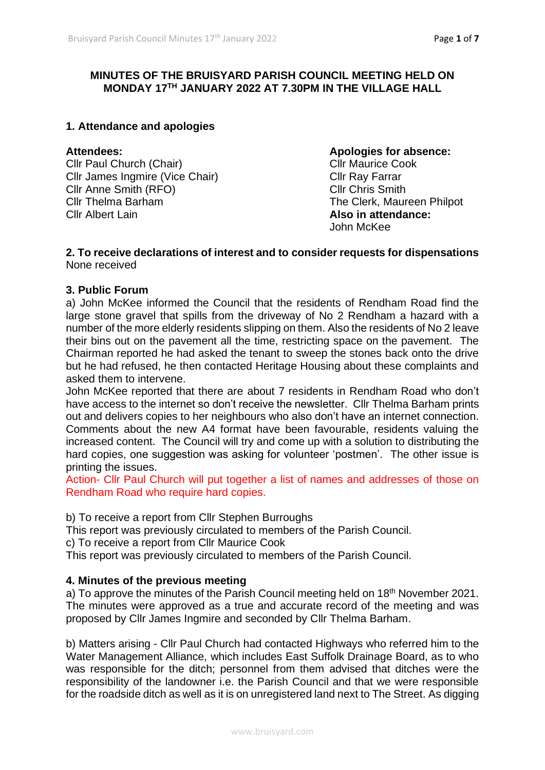## **MINUTES OF THE BRUISYARD PARISH COUNCIL MEETING HELD ON MONDAY 17TH JANUARY 2022 AT 7.30PM IN THE VILLAGE HALL**

#### **1. Attendance and apologies**

Cllr Paul Church (Chair) Cllr Maurice Cook Cllr James Ingmire (Vice Chair) Cllr Ray Farrar Cllr Anne Smith (RFO) Cllr Chris Smith Cllr Thelma Barham The Clerk, Maureen Philpot Cllr Albert Lain **Also in attendance:**

# **Attendees: Apologies for absence:** John McKee

#### **2. To receive declarations of interest and to consider requests for dispensations** None received

#### **3. Public Forum**

a) John McKee informed the Council that the residents of Rendham Road find the large stone gravel that spills from the driveway of No 2 Rendham a hazard with a number of the more elderly residents slipping on them. Also the residents of No 2 leave their bins out on the pavement all the time, restricting space on the pavement. The Chairman reported he had asked the tenant to sweep the stones back onto the drive but he had refused, he then contacted Heritage Housing about these complaints and asked them to intervene.

John McKee reported that there are about 7 residents in Rendham Road who don't have access to the internet so don't receive the newsletter. Cllr Thelma Barham prints out and delivers copies to her neighbours who also don't have an internet connection. Comments about the new A4 format have been favourable, residents valuing the increased content. The Council will try and come up with a solution to distributing the hard copies, one suggestion was asking for volunteer 'postmen'. The other issue is printing the issues.

Action- Cllr Paul Church will put together a list of names and addresses of those on Rendham Road who require hard copies.

b) To receive a report from Cllr Stephen Burroughs

This report was previously circulated to members of the Parish Council.

c) To receive a report from Cllr Maurice Cook

This report was previously circulated to members of the Parish Council.

## **4. Minutes of the previous meeting**

a) To approve the minutes of the Parish Council meeting held on 18<sup>th</sup> November 2021. The minutes were approved as a true and accurate record of the meeting and was proposed by Cllr James Ingmire and seconded by Cllr Thelma Barham.

b) Matters arising - Cllr Paul Church had contacted Highways who referred him to the Water Management Alliance, which includes East Suffolk Drainage Board, as to who was responsible for the ditch; personnel from them advised that ditches were the responsibility of the landowner i.e. the Parish Council and that we were responsible for the roadside ditch as well as it is on unregistered land next to The Street. As digging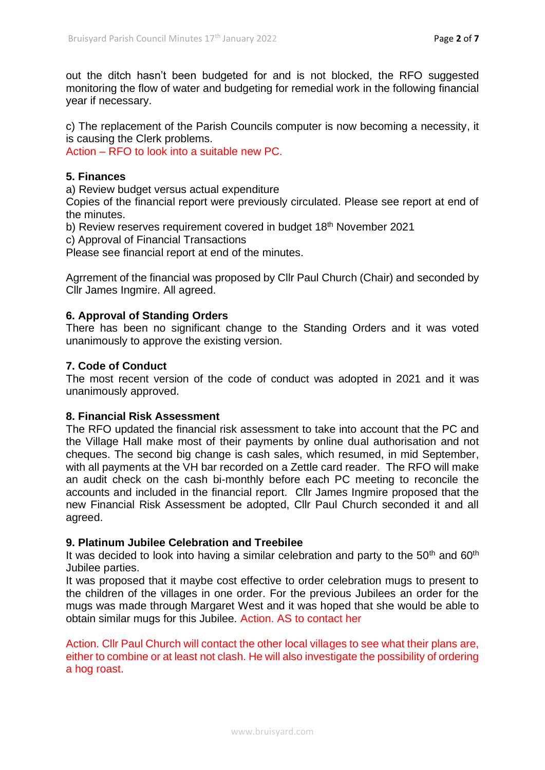out the ditch hasn't been budgeted for and is not blocked, the RFO suggested monitoring the flow of water and budgeting for remedial work in the following financial year if necessary.

c) The replacement of the Parish Councils computer is now becoming a necessity, it is causing the Clerk problems.

Action – RFO to look into a suitable new PC.

#### **5. Finances**

a) Review budget versus actual expenditure

Copies of the financial report were previously circulated. Please see report at end of the minutes.

b) Review reserves requirement covered in budget 18<sup>th</sup> November 2021

c) Approval of Financial Transactions

Please see financial report at end of the minutes.

Agrrement of the financial was proposed by Cllr Paul Church (Chair) and seconded by Cllr James Ingmire. All agreed.

## **6. Approval of Standing Orders**

There has been no significant change to the Standing Orders and it was voted unanimously to approve the existing version.

#### **7. Code of Conduct**

The most recent version of the code of conduct was adopted in 2021 and it was unanimously approved.

#### **8. Financial Risk Assessment**

The RFO updated the financial risk assessment to take into account that the PC and the Village Hall make most of their payments by online dual authorisation and not cheques. The second big change is cash sales, which resumed, in mid September, with all payments at the VH bar recorded on a Zettle card reader. The RFO will make an audit check on the cash bi-monthly before each PC meeting to reconcile the accounts and included in the financial report. Cllr James Ingmire proposed that the new Financial Risk Assessment be adopted, Cllr Paul Church seconded it and all agreed.

#### **9. Platinum Jubilee Celebration and Treebilee**

It was decided to look into having a similar celebration and party to the  $50<sup>th</sup>$  and  $60<sup>th</sup>$ Jubilee parties.

It was proposed that it maybe cost effective to order celebration mugs to present to the children of the villages in one order. For the previous Jubilees an order for the mugs was made through Margaret West and it was hoped that she would be able to obtain similar mugs for this Jubilee. Action. AS to contact her

Action. Cllr Paul Church will contact the other local villages to see what their plans are, either to combine or at least not clash. He will also investigate the possibility of ordering a hog roast.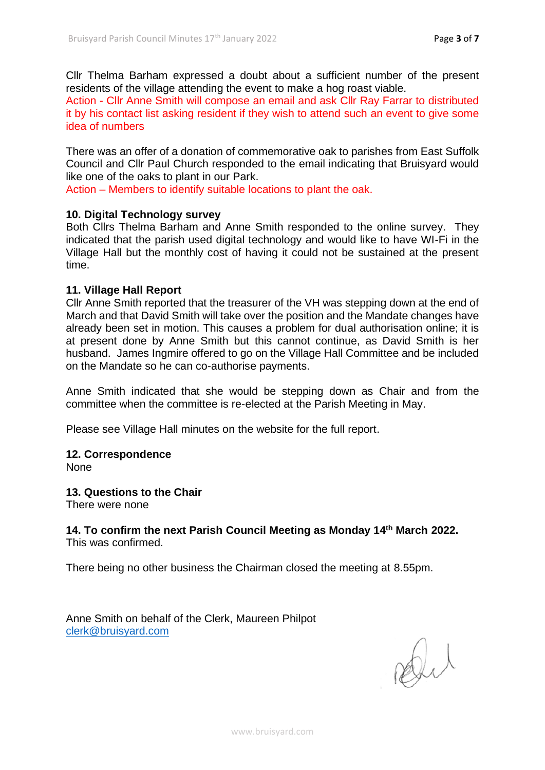Cllr Thelma Barham expressed a doubt about a sufficient number of the present residents of the village attending the event to make a hog roast viable.

Action - Cllr Anne Smith will compose an email and ask Cllr Ray Farrar to distributed it by his contact list asking resident if they wish to attend such an event to give some idea of numbers

There was an offer of a donation of commemorative oak to parishes from East Suffolk Council and Cllr Paul Church responded to the email indicating that Bruisyard would like one of the oaks to plant in our Park.

Action – Members to identify suitable locations to plant the oak.

## **10. Digital Technology survey**

Both Cllrs Thelma Barham and Anne Smith responded to the online survey. They indicated that the parish used digital technology and would like to have WI-Fi in the Village Hall but the monthly cost of having it could not be sustained at the present time.

## **11. Village Hall Report**

Cllr Anne Smith reported that the treasurer of the VH was stepping down at the end of March and that David Smith will take over the position and the Mandate changes have already been set in motion. This causes a problem for dual authorisation online; it is at present done by Anne Smith but this cannot continue, as David Smith is her husband. James Ingmire offered to go on the Village Hall Committee and be included on the Mandate so he can co-authorise payments.

Anne Smith indicated that she would be stepping down as Chair and from the committee when the committee is re-elected at the Parish Meeting in May.

Please see Village Hall minutes on the website for the full report.

## **12. Correspondence**

None

## **13. Questions to the Chair**

There were none

**14. To confirm the next Parish Council Meeting as Monday 14 th March 2022.** This was confirmed.

There being no other business the Chairman closed the meeting at 8.55pm.

Anne Smith on behalf of the Clerk, Maureen Philpot [clerk@bruisyard.com](mailto:clerk@bruisyard.com)

Dut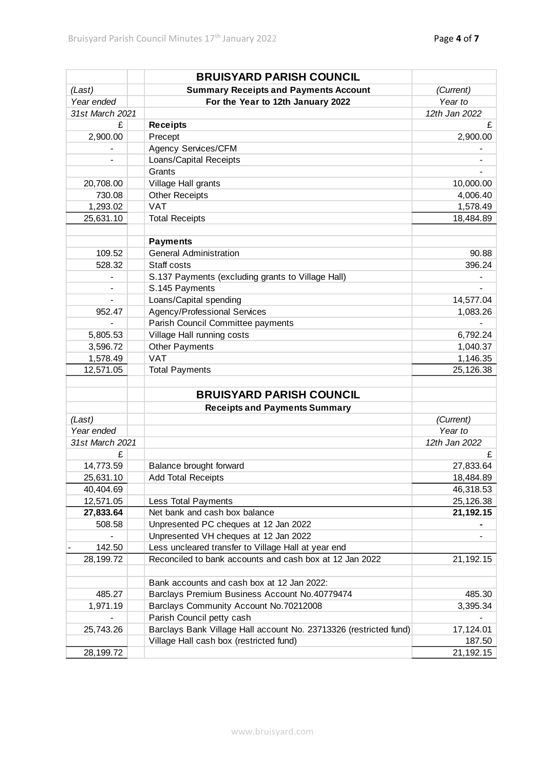|                              | <b>BRUISYARD PARISH COUNCIL</b>                                   |               |
|------------------------------|-------------------------------------------------------------------|---------------|
| (Last)                       | <b>Summary Receipts and Payments Account</b>                      | (Current)     |
| Year ended                   | For the Year to 12th January 2022                                 | Year to       |
| 31st March 2021              |                                                                   | 12th Jan 2022 |
| £                            | <b>Receipts</b>                                                   | £             |
| 2,900.00                     | Precept                                                           | 2,900.00      |
|                              | Agency Services/CFM                                               |               |
|                              | Loans/Capital Receipts                                            |               |
|                              | Grants                                                            |               |
| 20,708.00                    | Village Hall grants                                               | 10,000.00     |
| 730.08                       | <b>Other Receipts</b>                                             | 4,006.40      |
| 1,293.02                     | <b>VAT</b>                                                        | 1,578.49      |
| 25,631.10                    | <b>Total Receipts</b>                                             | 18,484.89     |
|                              |                                                                   |               |
|                              | <b>Payments</b>                                                   |               |
| 109.52                       | <b>General Administration</b>                                     | 90.88         |
| 528.32                       | Staff costs                                                       | 396.24        |
| -                            | S.137 Payments (excluding grants to Village Hall)                 |               |
| $\qquad \qquad \blacksquare$ | S.145 Payments                                                    |               |
| $\overline{\phantom{0}}$     | Loans/Capital spending                                            | 14,577.04     |
| 952.47                       | Agency/Professional Services                                      | 1,083.26      |
|                              | Parish Council Committee payments                                 |               |
| 5,805.53                     | Village Hall running costs                                        | 6,792.24      |
| 3,596.72                     | Other Payments                                                    | 1,040.37      |
| 1,578.49                     | <b>VAT</b>                                                        | 1,146.35      |
| 12,571.05                    | <b>Total Payments</b>                                             | 25,126.38     |
|                              |                                                                   |               |
|                              | <b>BRUISYARD PARISH COUNCIL</b>                                   |               |
|                              | <b>Receipts and Payments Summary</b>                              |               |
| (Last)                       |                                                                   | (Current)     |
| Year ended                   |                                                                   | Year to       |
| 31st March 2021              |                                                                   | 12th Jan 2022 |
| £                            |                                                                   | £             |
| 14,773.59                    | Balance brought forward                                           | 27,833.64     |
| 25,631.10                    | <b>Add Total Receipts</b>                                         | 18,484.89     |
| 40,404.69                    |                                                                   | 46,318.53     |
| 12,571.05                    | Less Total Payments                                               | 25,126.38     |
| 27,833.64                    | Net bank and cash box balance                                     | 21, 192. 15   |
| 508.58                       | Unpresented PC cheques at 12 Jan 2022                             |               |
|                              | Unpresented VH cheques at 12 Jan 2022                             |               |
| 142.50                       | Less uncleared transfer to Village Hall at year end               |               |
| 28,199.72                    | Reconciled to bank accounts and cash box at 12 Jan 2022           | 21,192.15     |
|                              |                                                                   |               |
|                              | Bank accounts and cash box at 12 Jan 2022:                        |               |
| 485.27                       | Barclays Premium Business Account No.40779474                     | 485.30        |
| 1,971.19                     | Barclays Community Account No.70212008                            | 3,395.34      |
|                              | Parish Council petty cash                                         |               |
| 25,743.26                    | Barclays Bank Village Hall account No. 23713326 (restricted fund) | 17,124.01     |
|                              | Village Hall cash box (restricted fund)                           | 187.50        |
| 28,199.72                    |                                                                   | 21,192.15     |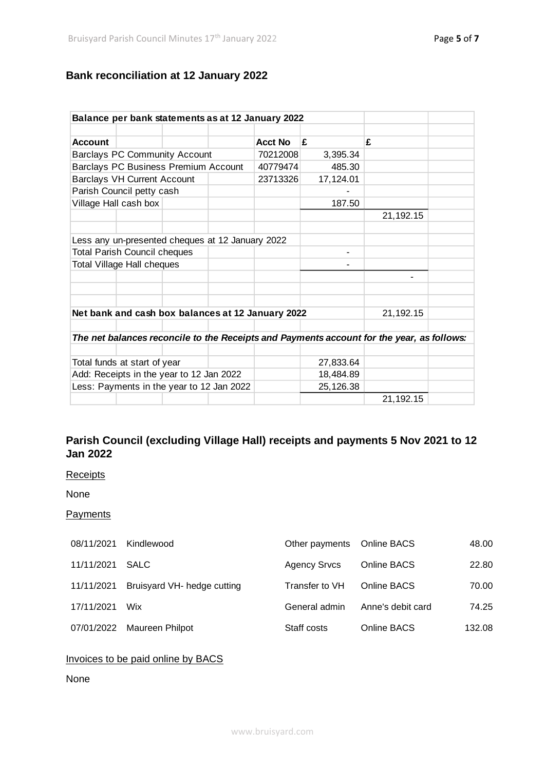# **Bank reconciliation at 12 January 2022**

| Balance per bank statements as at 12 January 2022                                         |                |           |             |  |  |  |
|-------------------------------------------------------------------------------------------|----------------|-----------|-------------|--|--|--|
|                                                                                           |                |           |             |  |  |  |
| <b>Account</b>                                                                            | <b>Acct No</b> | £         | £           |  |  |  |
| <b>Barclays PC Community Account</b>                                                      | 70212008       | 3,395.34  |             |  |  |  |
| Barclays PC Business Premium Account                                                      | 40779474       | 485.30    |             |  |  |  |
| <b>Barclays VH Current Account</b>                                                        | 23713326       | 17,124.01 |             |  |  |  |
| Parish Council petty cash                                                                 |                |           |             |  |  |  |
| Village Hall cash box                                                                     |                | 187.50    |             |  |  |  |
|                                                                                           |                |           | 21, 192. 15 |  |  |  |
|                                                                                           |                |           |             |  |  |  |
| Less any un-presented cheques at 12 January 2022                                          |                |           |             |  |  |  |
| <b>Total Parish Council cheques</b>                                                       |                |           |             |  |  |  |
| <b>Total Village Hall cheques</b>                                                         |                |           |             |  |  |  |
|                                                                                           |                |           | ۰           |  |  |  |
|                                                                                           |                |           |             |  |  |  |
|                                                                                           |                |           |             |  |  |  |
| Net bank and cash box balances at 12 January 2022                                         | 21,192.15      |           |             |  |  |  |
|                                                                                           |                |           |             |  |  |  |
| The net balances reconcile to the Receipts and Payments account for the year, as follows: |                |           |             |  |  |  |
|                                                                                           |                |           |             |  |  |  |
| Total funds at start of year                                                              |                | 27,833.64 |             |  |  |  |
| Add: Receipts in the year to 12 Jan 2022                                                  |                | 18,484.89 |             |  |  |  |
| Less: Payments in the year to 12 Jan 2022                                                 |                | 25,126.38 |             |  |  |  |
|                                                                                           |                |           | 21,192.15   |  |  |  |

# **Parish Council (excluding Village Hall) receipts and payments 5 Nov 2021 to 12 Jan 2022**

#### **Receipts**

None

#### **Payments**

| 08/11/2021 | Kindlewood                  | Other payments Online BACS |                   | 48.00  |
|------------|-----------------------------|----------------------------|-------------------|--------|
| 11/11/2021 | <b>SALC</b>                 | <b>Agency Srvcs</b>        | Online BACS       | 22.80  |
| 11/11/2021 | Bruisyard VH- hedge cutting | Transfer to VH             | Online BACS       | 70.00  |
| 17/11/2021 | Wix                         | General admin              | Anne's debit card | 74.25  |
| 07/01/2022 | Maureen Philpot             | Staff costs                | Online BACS       | 132.08 |
|            |                             |                            |                   |        |

# Invoices to be paid online by BACS

# None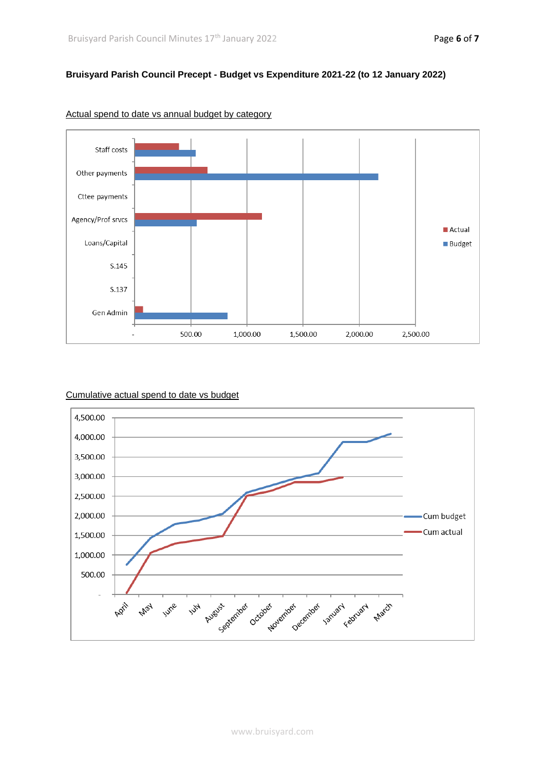#### **Bruisyard Parish Council Precept - Budget vs Expenditure 2021-22 (to 12 January 2022)**



#### Actual spend to date vs annual budget by category



#### Cumulative actual spend to date vs budget